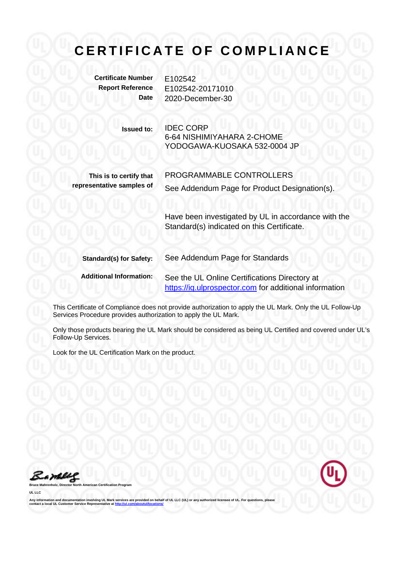**Certificate Number** E102542

**Report Reference** E102542-20171010 **Date** 2020-December-30

> **Issued to:** IDEC CORP 6-64 NISHIMIYAHARA 2-CHOME YODOGAWA-KUOSAKA 532-0004 JP

**This is to certify that representative samples of**

PROGRAMMABLE CONTROLLERS See Addendum Page for Product Designation(s).

Have been investigated by UL in accordance with the Standard(s) indicated on this Certificate.

**Standard(s) for Safety:** See Addendum Page for Standards

**Additional Information:** See the UL Online Certifications Directory at https://iq.ulprospector.com for additional information

This Certificate of Compliance does not provide authorization to apply the UL Mark. Only the UL Follow-Up Services Procedure provides authorization to apply the UL Mark.

Only those products bearing the UL Mark should be considered as being UL Certified and covered under UL's Follow-Up Services.

Look for the UL Certification Mark on the product.



**Broaran** 

**UL LLC** 

Any information and documentation involving UL Mark services are provided on behalf of UL LLC (UL) or any authorized licensee of UL. For questions, please<br>contact a local UL Customer Service Representative at <u>http://ul.co</u>

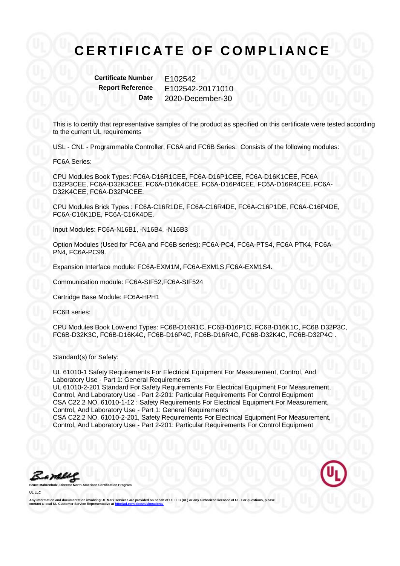**Certificate Number E102542** 

**Report Reference** E102542-20171010 **Date** 2020-December-30

This is to certify that representative samples of the product as specified on this certificate were tested according to the current UL requirements

USL - CNL - Programmable Controller, FC6A and FC6B Series. Consists of the following modules:

FC6A Series:

CPU Modules Book Types: FC6A-D16R1CEE, FC6A-D16P1CEE, FC6A-D16K1CEE, FC6A D32P3CEE, FC6A-D32K3CEE, FC6A-D16K4CEE, FC6A-D16P4CEE, FC6A-D16R4CEE, FC6A-D32K4CEE, FC6A-D32P4CEE.

CPU Modules Brick Types : FC6A-C16R1DE, FC6A-C16R4DE, FC6A-C16P1DE, FC6A-C16P4DE, FC6A-C16K1DE, FC6A-C16K4DE.

Input Modules: FC6A-N16B1, -N16B4, -N16B3

Option Modules (Used for FC6A and FC6B series): FC6A-PC4, FC6A-PTS4, FC6A PTK4, FC6A-PN4, FC6A-PC99.

Expansion Interface module: FC6A-EXM1M, FC6A-EXM1S,FC6A-EXM1S4.

Communication module: FC6A-SIF52,FC6A-SIF524

Cartridge Base Module: FC6A-HPH1

FC6B series:

CPU Modules Book Low-end Types: FC6B-D16R1C, FC6B-D16P1C, FC6B-D16K1C, FC6B D32P3C, FC6B-D32K3C, FC6B-D16K4C, FC6B-D16P4C, FC6B-D16R4C, FC6B-D32K4C, FC6B-D32P4C .

Standard(s) for Safety:

UL 61010-1 Safety Requirements For Electrical Equipment For Measurement, Control, And Laboratory Use - Part 1: General Requirements UL 61010-2-201 Standard For Safety Requirements For Electrical Equipment For Measurement, Control, And Laboratory Use - Part 2-201: Particular Requirements For Control Equipment CSA C22.2 NO. 61010-1-12 : Safety Requirements For Electrical Equipment For Measurement, Control, And Laboratory Use - Part 1: General Requirements CSA C22.2 NO. 61010-2-201, Safety Requirements For Electrical Equipment For Measurement, Control, And Laboratory Use - Part 2-201: Particular Requirements For Control Equipment

a While

**UL LLC** 



Any information and documentation involving UL Mark services are provided on behalf of UL LLC (UL) or any authorized licensee of UL. For questions, please<br>contact a local UL Customer Service Representative at <u>http://ul.co</u>

**Broaran**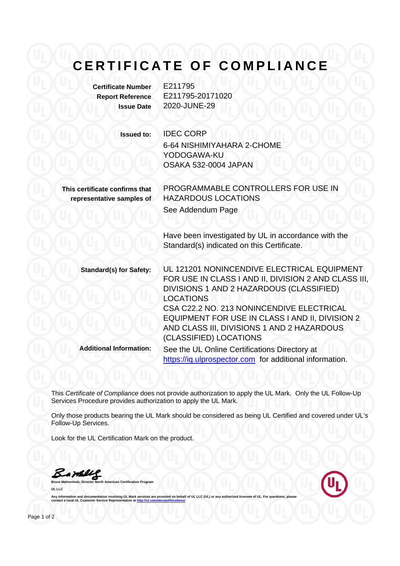**Certificate Number** E211795 **Report Reference** E211795-20171020 **Issue Date** 2020-JUNE-29

**Issued to:** IDEC CORP

6-64 NISHIMIYAHARA 2-CHOME YODOGAWA-KU OSAKA 532-0004 JAPAN

**This certificate confirms that representative samples of** PROGRAMMABLE CONTROLLERS FOR USE IN HAZARDOUS LOCATIONS See Addendum Page

Have been investigated by UL in accordance with the Standard(s) indicated on this Certificate.

**Standard(s) for Safety:** UL 121201 NONINCENDIVE ELECTRICAL EQUIPMENT FOR USE IN CLASS I AND II, DIVISION 2 AND CLASS III, DIVISIONS 1 AND 2 HAZARDOUS (CLASSIFIED) LOCATIONS CSA C22.2 NO. 213 NONINCENDIVE ELECTRICAL EQUIPMENT FOR USE IN CLASS I AND II, DIVISION 2 AND CLASS III, DIVISIONS 1 AND 2 HAZARDOUS (CLASSIFIED) LOCATIONS **Additional Information:** See the UL Online Certifications Directory at

https://iq.ulprospector.com for additional information.

This *Certificate of Compliance* does not provide authorization to apply the UL Mark. Only the UL Follow-Up Services Procedure provides authorization to apply the UL Mark.

Only those products bearing the UL Mark should be considered as being UL Certified and covered under UL's Follow-Up Services.

Look for the UL Certification Mark on the product.

**Bruce Mahrenholz, Director North American Certification Program** 

Bambley

**UL LLC** 

Any information and documentation involving UL Mark services are provided on behalf of UL LLC (UL) or a contact a local UL Customer Service Representative at